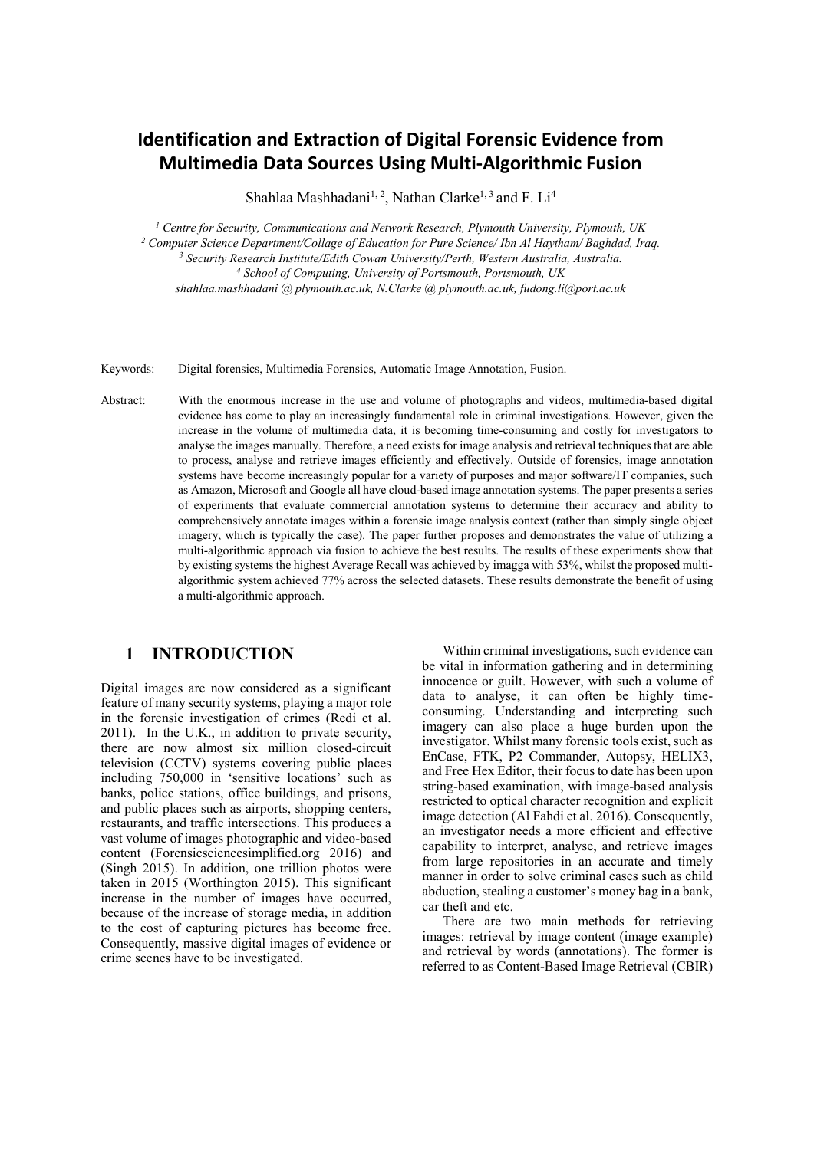# **Identification and Extraction of Digital Forensic Evidence from Multimedia Data Sources Using Multi-Algorithmic Fusion**

Shahlaa Mashhadani<sup>1, 2</sup>, Nathan Clarke<sup>1, 3</sup> and F. Li<sup>4</sup>

 *Centre for Security, Communications and Network Research, Plymouth University, Plymouth, UK Computer Science Department/Collage of Education for Pure Science/ Ibn Al Haytham/ Baghdad, Iraq. Security Research Institute/Edith Cowan University/Perth, Western Australia, Australia. School of Computing, University of Portsmouth, Portsmouth, UK shahlaa.mashhadani @ plymouth.ac.uk, N.Clarke @ plymouth.ac.uk, fudong.li@port.ac.uk*

Keywords: Digital forensics, Multimedia Forensics, Automatic Image Annotation, Fusion.

Abstract: With the enormous increase in the use and volume of photographs and videos, multimedia-based digital evidence has come to play an increasingly fundamental role in criminal investigations. However, given the increase in the volume of multimedia data, it is becoming time-consuming and costly for investigators to analyse the images manually. Therefore, a need exists for image analysis and retrieval techniques that are able to process, analyse and retrieve images efficiently and effectively. Outside of forensics, image annotation systems have become increasingly popular for a variety of purposes and major software/IT companies, such as Amazon, Microsoft and Google all have cloud-based image annotation systems. The paper presents a series of experiments that evaluate commercial annotation systems to determine their accuracy and ability to comprehensively annotate images within a forensic image analysis context (rather than simply single object imagery, which is typically the case). The paper further proposes and demonstrates the value of utilizing a multi-algorithmic approach via fusion to achieve the best results. The results of these experiments show that by existing systems the highest Average Recall was achieved by imagga with 53%, whilst the proposed multialgorithmic system achieved 77% across the selected datasets. These results demonstrate the benefit of using a multi-algorithmic approach.

### **1 INTRODUCTION**

Digital images are now considered as a significant feature of many security systems, playing a major role in the forensic investigation of crimes (Redi et al. 2011). In the U.K., in addition to private security, there are now almost six million closed-circuit television (CCTV) systems covering public places including 750,000 in 'sensitive locations' such as banks, police stations, office buildings, and prisons, and public places such as airports, shopping centers, restaurants, and traffic intersections. This produces a vast volume of images photographic and video-based content (Forensicsciencesimplified.org 2016) and (Singh 2015). In addition, one trillion photos were taken in 2015 (Worthington 2015). This significant increase in the number of images have occurred, because of the increase of storage media, in addition to the cost of capturing pictures has become free. Consequently, massive digital images of evidence or crime scenes have to be investigated.

Within criminal investigations, such evidence can be vital in information gathering and in determining innocence or guilt. However, with such a volume of data to analyse, it can often be highly timeconsuming. Understanding and interpreting such imagery can also place a huge burden upon the investigator. Whilst many forensic tools exist, such as EnCase, FTK, P2 Commander, Autopsy, HELIX3, and Free Hex Editor, their focus to date has been upon string-based examination, with image-based analysis restricted to optical character recognition and explicit image detection (Al Fahdi et al. 2016). Consequently, an investigator needs a more efficient and effective capability to interpret, analyse, and retrieve images from large repositories in an accurate and timely manner in order to solve criminal cases such as child abduction, stealing a customer's money bag in a bank, car theft and etc.

There are two main methods for retrieving images: retrieval by image content (image example) and retrieval by words (annotations). The former is referred to as Content-Based Image Retrieval (CBIR)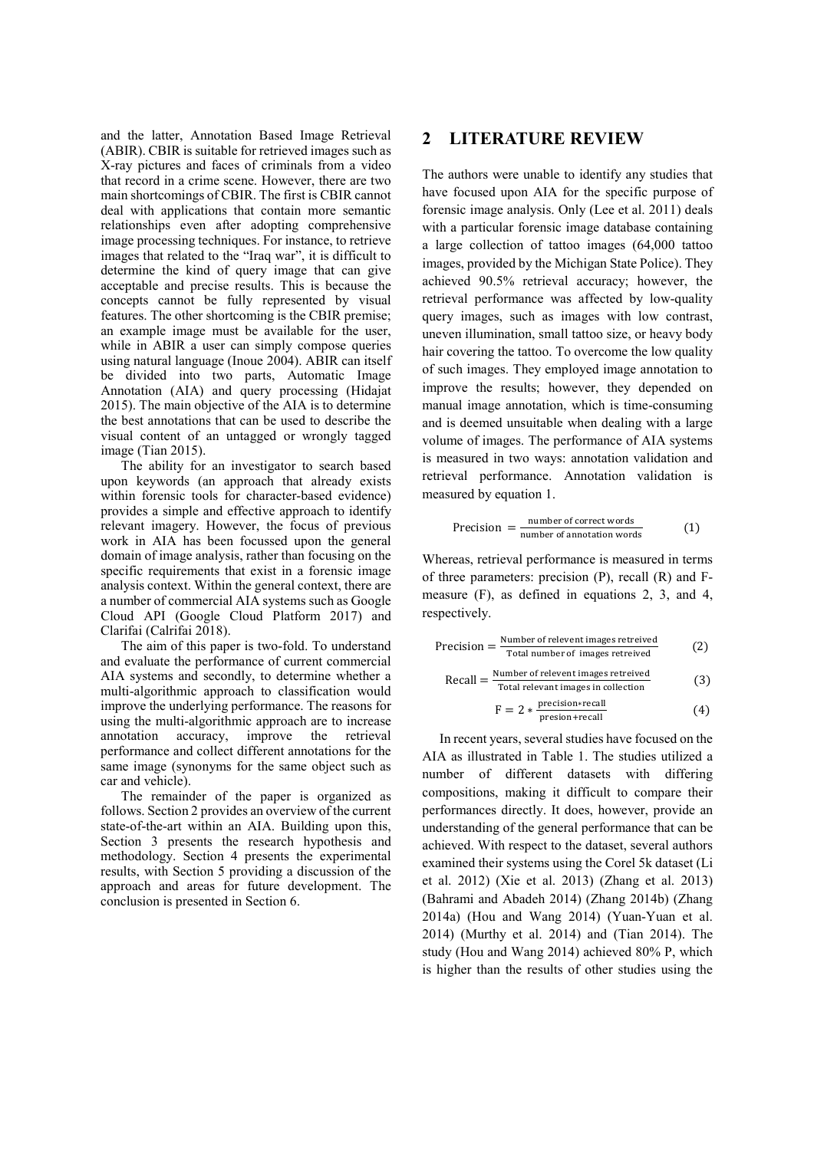and the latter, Annotation Based Image Retrieval (ABIR). CBIR is suitable for retrieved images such as X-ray pictures and faces of criminals from a video that record in a crime scene. However, there are two main shortcomings of CBIR. The first is CBIR cannot deal with applications that contain more semantic relationships even after adopting comprehensive image processing techniques. For instance, to retrieve images that related to the "Iraq war", it is difficult to determine the kind of query image that can give acceptable and precise results. This is because the concepts cannot be fully represented by visual features. The other shortcoming is the CBIR premise; an example image must be available for the user, while in ABIR a user can simply compose queries using natural language (Inoue 2004). ABIR can itself be divided into two parts, Automatic Image Annotation (AIA) and query processing (Hidajat 2015). The main objective of the AIA is to determine the best annotations that can be used to describe the visual content of an untagged or wrongly tagged image (Tian 2015).

The ability for an investigator to search based upon keywords (an approach that already exists within forensic tools for character-based evidence) provides a simple and effective approach to identify relevant imagery. However, the focus of previous work in AIA has been focussed upon the general domain of image analysis, rather than focusing on the specific requirements that exist in a forensic image analysis context. Within the general context, there are a number of commercial AIA systems such as Google Cloud API (Google Cloud Platform 2017) and Clarifai (Calrifai 2018).

The aim of this paper is two-fold. To understand and evaluate the performance of current commercial AIA systems and secondly, to determine whether a multi-algorithmic approach to classification would improve the underlying performance. The reasons for using the multi-algorithmic approach are to increase annotation accuracy, improve the retrieval performance and collect different annotations for the same image (synonyms for the same object such as car and vehicle).

The remainder of the paper is organized as follows. Section 2 provides an overview of the current state-of-the-art within an AIA. Building upon this, Section 3 presents the research hypothesis and methodology. Section 4 presents the experimental results, with Section 5 providing a discussion of the approach and areas for future development. The conclusion is presented in Section 6.

### **2 LITERATURE REVIEW**

The authors were unable to identify any studies that have focused upon AIA for the specific purpose of forensic image analysis. Only (Lee et al. 2011) deals with a particular forensic image database containing a large collection of tattoo images (64,000 tattoo images, provided by the Michigan State Police). They achieved 90.5% retrieval accuracy; however, the retrieval performance was affected by low-quality query images, such as images with low contrast, uneven illumination, small tattoo size, or heavy body hair covering the tattoo. To overcome the low quality of such images. They employed image annotation to improve the results; however, they depended on manual image annotation, which is time-consuming and is deemed unsuitable when dealing with a large volume of images. The performance of AIA systems is measured in two ways: annotation validation and retrieval performance. Annotation validation is measured by equation 1.

$$
Precision = \frac{number\ of\ correct\ words}{number\ of\ annotation\ words}
$$
 (1)

Whereas, retrieval performance is measured in terms of three parameters: precision (P), recall (R) and Fmeasure (F), as defined in equations 2, 3, and 4, respectively.

$$
Precision = \frac{Number of relevant images retrieved}{Total number of images retrieved} \tag{2}
$$

$$
Recall = \frac{Number of relevant images retrievedTotal relevant images in collection} (3)
$$

$$
F = 2 * \frac{\text{precision} * \text{recall}}{\text{precision} + \text{recall}} \tag{4}
$$

 In recent years, several studies have focused on the AIA as illustrated in Table 1. The studies utilized a number of different datasets with differing compositions, making it difficult to compare their performances directly. It does, however, provide an understanding of the general performance that can be achieved. With respect to the dataset, several authors examined their systems using the Corel 5k dataset (Li et al. 2012) (Xie et al. 2013) (Zhang et al. 2013) (Bahrami and Abadeh 2014) (Zhang 2014b) (Zhang 2014a) (Hou and Wang 2014) (Yuan-Yuan et al. 2014) (Murthy et al. 2014) and (Tian 2014). The study (Hou and Wang 2014) achieved 80% P, which is higher than the results of other studies using the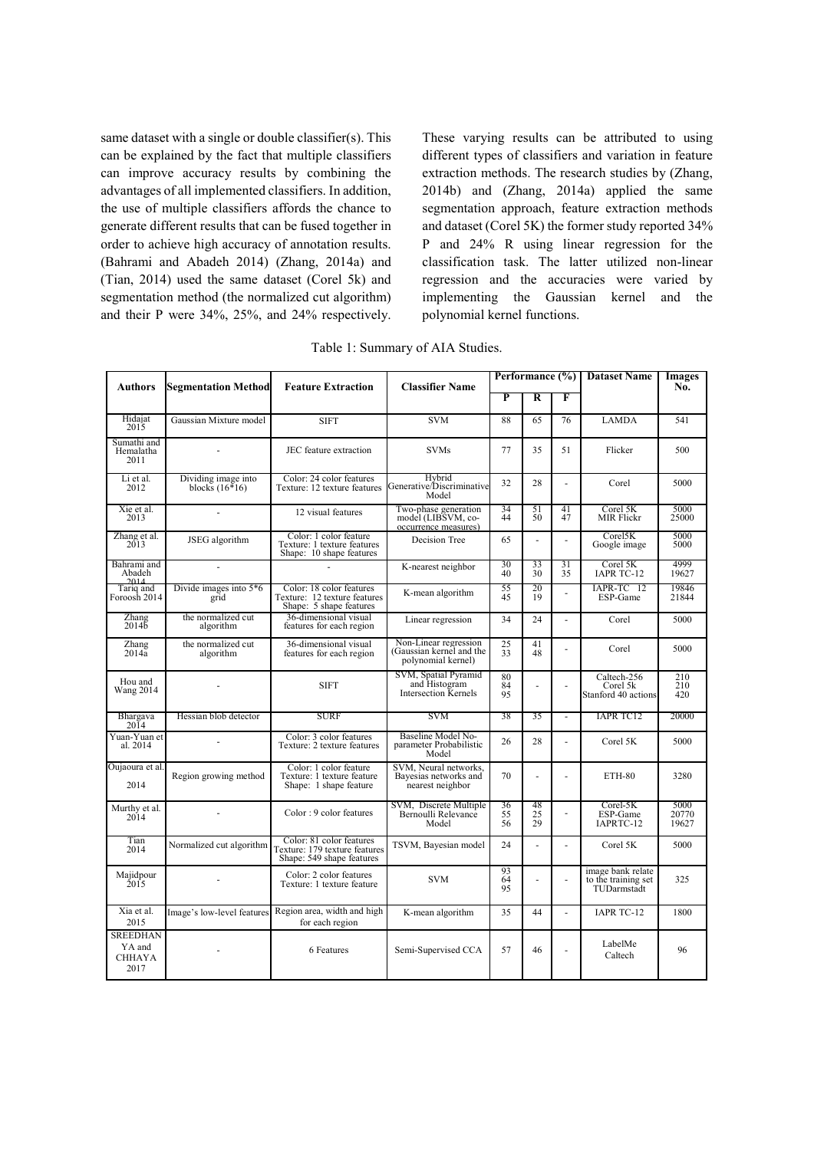same dataset with a single or double classifier(s). This can be explained by the fact that multiple classifiers can improve accuracy results by combining the advantages of all implemented classifiers. In addition, the use of multiple classifiers affords the chance to generate different results that can be fused together in order to achieve high accuracy of annotation results. (Bahrami and Abadeh 2014) (Zhang, 2014a) and (Tian, 2014) used the same dataset (Corel 5k) and segmentation method (the normalized cut algorithm) and their P were 34%, 25%, and 24% respectively. These varying results can be attributed to using different types of classifiers and variation in feature extraction methods. The research studies by (Zhang, 2014b) and (Zhang, 2014a) applied the same segmentation approach, feature extraction methods and dataset (Corel 5K) the former study reported 34% P and 24% R using linear regression for the classification task. The latter utilized non-linear regression and the accuracies were varied by implementing the Gaussian kernel and the polynomial kernel functions.

| Table 1: Summary of AIA Studies. |  |
|----------------------------------|--|
|----------------------------------|--|

| <b>Authors</b>                                     | <b>Segmentation Method</b>              | <b>Feature Extraction</b>                                                              | <b>Classifier Name</b>                                                  |                       |                          |                          | Performance (%) Dataset Name                            | Images<br>No.          |
|----------------------------------------------------|-----------------------------------------|----------------------------------------------------------------------------------------|-------------------------------------------------------------------------|-----------------------|--------------------------|--------------------------|---------------------------------------------------------|------------------------|
|                                                    |                                         |                                                                                        |                                                                         | P                     | R                        | F                        |                                                         |                        |
| Hidajat<br>2015                                    | Gaussian Mixture model                  | <b>SIFT</b>                                                                            | <b>SVM</b>                                                              | 88                    | 65                       | 76                       | <b>LAMDA</b>                                            | 541                    |
| Sumathi and<br>Hemalatha<br>2011                   |                                         | JEC feature extraction                                                                 | <b>SVMs</b>                                                             | 77                    | 35                       | 51                       | Flicker                                                 | 500                    |
| Li et al.<br>2012                                  | Dividing image into<br>blocks $(16*16)$ | Color: 24 color features<br>Texture: 12 texture features                               | Hybrid<br>Generative/Discriminative<br>Model                            | 32                    | 28                       | ä,                       | Corel                                                   | 5000                   |
| Xie et al.<br>2013                                 | ÷.                                      | 12 visual features                                                                     | Two-phase generation<br>model (LIBSVM, co-<br>occurrence measures)      | 34<br>44              | 51<br>50                 | 41<br>47                 | Corel 5K<br><b>MIR Flickr</b>                           | 5000<br>25000          |
| Zhang et al.<br>2013                               | JSEG algorithm                          | Color: 1 color feature<br>Texture: 1 texture features<br>Shape: 10 shape features      | Decision Tree                                                           | 65                    | ä,                       | $\omega$                 | Corel5K<br>Google image                                 | 5000<br>5000           |
| Bahrami and<br>Abadeh<br>2014                      |                                         |                                                                                        | K-nearest neighbor                                                      | 30<br>40              | 33<br>$\overline{30}$    | 31<br>35                 | Corel 5K<br><b>IAPR TC-12</b>                           | 4999<br>19627          |
| Tariq and<br>Foroosh 2014                          | Divide images into $5*6$<br>grid        | Color: 18 color features<br>Texture: 12 texture features<br>Shape: 5 shape features    | K-mean algorithm                                                        | 55<br>45              | 20<br>19                 | $\overline{a}$           | IAPR-TC 12<br>ESP-Game                                  | 19846<br>21844         |
| Zhang<br>2014 <sub>b</sub>                         | the normalized cut<br>algorithm         | 36-dimensional visual<br>features for each region                                      | Linear regression                                                       | 34                    | 24                       | $\omega$                 | Corel                                                   | 5000                   |
| Zhang<br>2014a                                     | the normalized cut<br>algorithm         | 36-dimensional visual<br>features for each region                                      | Non-Linear regression<br>(Gaussian kernel and the<br>polynomial kernel) | 25<br>33              | 41<br>48                 | $\overline{\phantom{a}}$ | Corel                                                   | 5000                   |
| Hou and<br><b>Wang 2014</b>                        |                                         | <b>SIFT</b>                                                                            | SVM, Spatial Pyramid<br>and Histogram<br>Intersection Kernels           | 80<br>$\frac{84}{95}$ | ÷,                       | ä,                       | Caltech-256<br>Corel 5k<br>Stanford 40 actions          | 210<br>210<br>420      |
| Bhargava<br>2014                                   | Hessian blob detector                   | <b>SURF</b>                                                                            | SVM                                                                     | 38                    | 35                       | $\blacksquare$           | <b>IAPR TC12</b>                                        | 20000                  |
| Yuan-Yuan et<br>al. 2014                           |                                         | Color: 3 color features<br>Texture: 2 texture features                                 | Baseline Model No-<br>parameter Probabilistic<br>Model                  | 26                    | 28                       | L.                       | Corel 5K                                                | 5000                   |
| Oujaoura et al.<br>2014                            | Region growing method                   | Color: 1 color feature<br>Texture: 1 texture feature<br>Shape: 1 shape feature         | SVM, Neural networks,<br>Bayesias networks and<br>nearest neighbor      | 70                    |                          | ÷,                       | ETH-80                                                  | 3280                   |
| Murthy et al.<br>2014                              |                                         | Color: 9 color features                                                                | SVM, Discrete Multiple<br>Bernoulli Relevance<br>Model                  | $\frac{36}{55}$<br>56 | $\frac{48}{25}$          | $\sim$                   | $CoreI-5K$<br>ESP-Game<br>IAPRTC-12                     | 5000<br>20770<br>19627 |
| Tian<br>2014                                       | Normalized cut algorithm                | Color: 81 color features<br>Texture: 179 texture features<br>Shape: 549 shape features | TSVM, Bayesian model                                                    | 24                    |                          | $\blacksquare$           | Corel 5K                                                | 5000                   |
| Majidpour<br>2015                                  |                                         | Color: 2 color features<br>Texture: 1 texture feature                                  | <b>SVM</b>                                                              | 93<br>64<br>95        | $\overline{\phantom{a}}$ | $\sim$                   | image bank relate<br>to the training set<br>TUDarmstadt | 325                    |
| Xia et al.<br>2015                                 | Image's low-level features              | Region area, width and high<br>for each region                                         | K-mean algorithm                                                        | 35                    | 44                       | ÷.                       | <b>IAPR TC-12</b>                                       | 1800                   |
| <b>SREEDHAN</b><br>YA and<br><b>CHHAYA</b><br>2017 |                                         | 6 Features                                                                             | Semi-Supervised CCA                                                     | 57                    | 46                       | ä,                       | LabelMe<br>Caltech                                      | 96                     |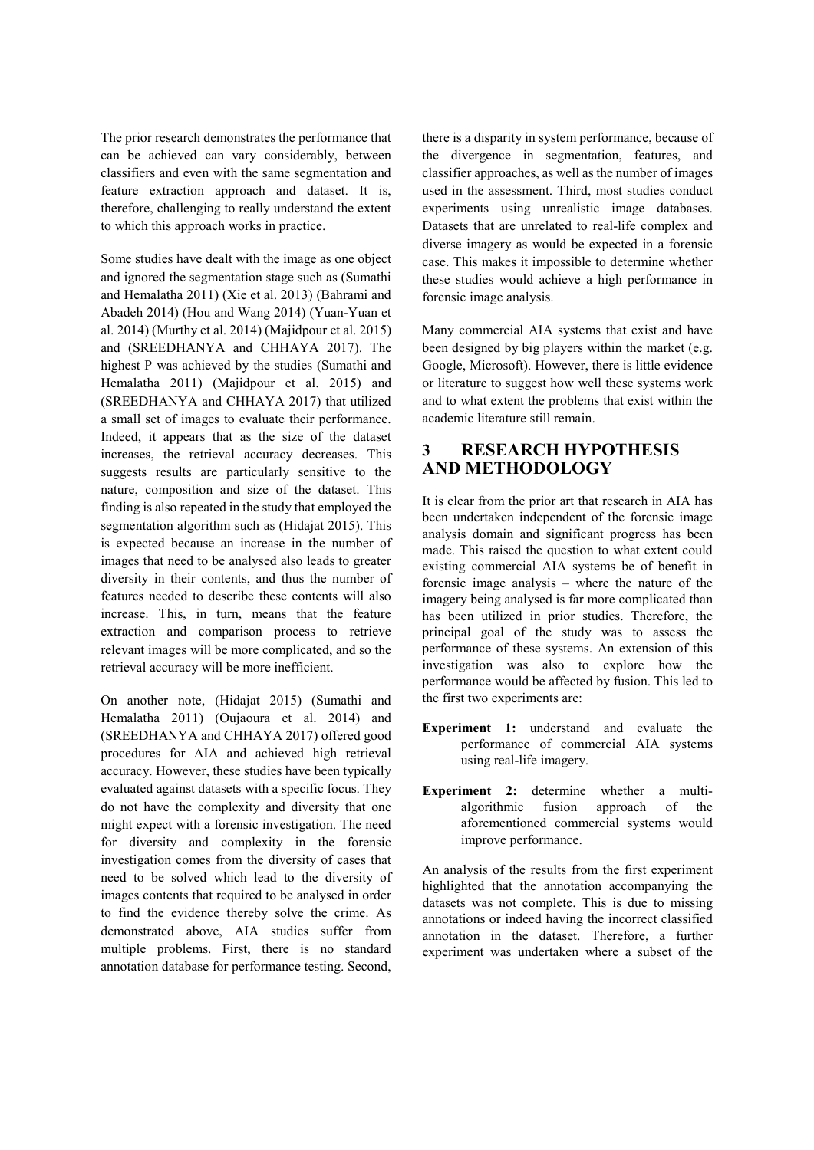The prior research demonstrates the performance that can be achieved can vary considerably, between classifiers and even with the same segmentation and feature extraction approach and dataset. It is, therefore, challenging to really understand the extent to which this approach works in practice.

Some studies have dealt with the image as one object and ignored the segmentation stage such as (Sumathi and Hemalatha 2011) (Xie et al. 2013) (Bahrami and Abadeh 2014) (Hou and Wang 2014) (Yuan-Yuan et al. 2014) (Murthy et al. 2014) (Majidpour et al. 2015) and (SREEDHANYA and CHHAYA 2017). The highest P was achieved by the studies (Sumathi and Hemalatha 2011) (Majidpour et al. 2015) and (SREEDHANYA and CHHAYA 2017) that utilized a small set of images to evaluate their performance. Indeed, it appears that as the size of the dataset increases, the retrieval accuracy decreases. This suggests results are particularly sensitive to the nature, composition and size of the dataset. This finding is also repeated in the study that employed the segmentation algorithm such as (Hidajat 2015). This is expected because an increase in the number of images that need to be analysed also leads to greater diversity in their contents, and thus the number of features needed to describe these contents will also increase. This, in turn, means that the feature extraction and comparison process to retrieve relevant images will be more complicated, and so the retrieval accuracy will be more inefficient.

On another note, (Hidajat 2015) (Sumathi and Hemalatha 2011) (Oujaoura et al. 2014) and (SREEDHANYA and CHHAYA 2017) offered good procedures for AIA and achieved high retrieval accuracy. However, these studies have been typically evaluated against datasets with a specific focus. They do not have the complexity and diversity that one might expect with a forensic investigation. The need for diversity and complexity in the forensic investigation comes from the diversity of cases that need to be solved which lead to the diversity of images contents that required to be analysed in order to find the evidence thereby solve the crime. As demonstrated above, AIA studies suffer from multiple problems. First, there is no standard annotation database for performance testing. Second,

there is a disparity in system performance, because of the divergence in segmentation, features, and classifier approaches, as well as the number of images used in the assessment. Third, most studies conduct experiments using unrealistic image databases. Datasets that are unrelated to real-life complex and diverse imagery as would be expected in a forensic case. This makes it impossible to determine whether these studies would achieve a high performance in forensic image analysis.

Many commercial AIA systems that exist and have been designed by big players within the market (e.g. Google, Microsoft). However, there is little evidence or literature to suggest how well these systems work and to what extent the problems that exist within the academic literature still remain.

## **3 RESEARCH HYPOTHESIS AND METHODOLOGY**

It is clear from the prior art that research in AIA has been undertaken independent of the forensic image analysis domain and significant progress has been made. This raised the question to what extent could existing commercial AIA systems be of benefit in forensic image analysis – where the nature of the imagery being analysed is far more complicated than has been utilized in prior studies. Therefore, the principal goal of the study was to assess the performance of these systems. An extension of this investigation was also to explore how the performance would be affected by fusion. This led to the first two experiments are:

- **Experiment 1:** understand and evaluate the performance of commercial AIA systems using real-life imagery.
- **Experiment 2:** determine whether a multialgorithmic fusion approach of the aforementioned commercial systems would improve performance.

An analysis of the results from the first experiment highlighted that the annotation accompanying the datasets was not complete. This is due to missing annotations or indeed having the incorrect classified annotation in the dataset. Therefore, a further experiment was undertaken where a subset of the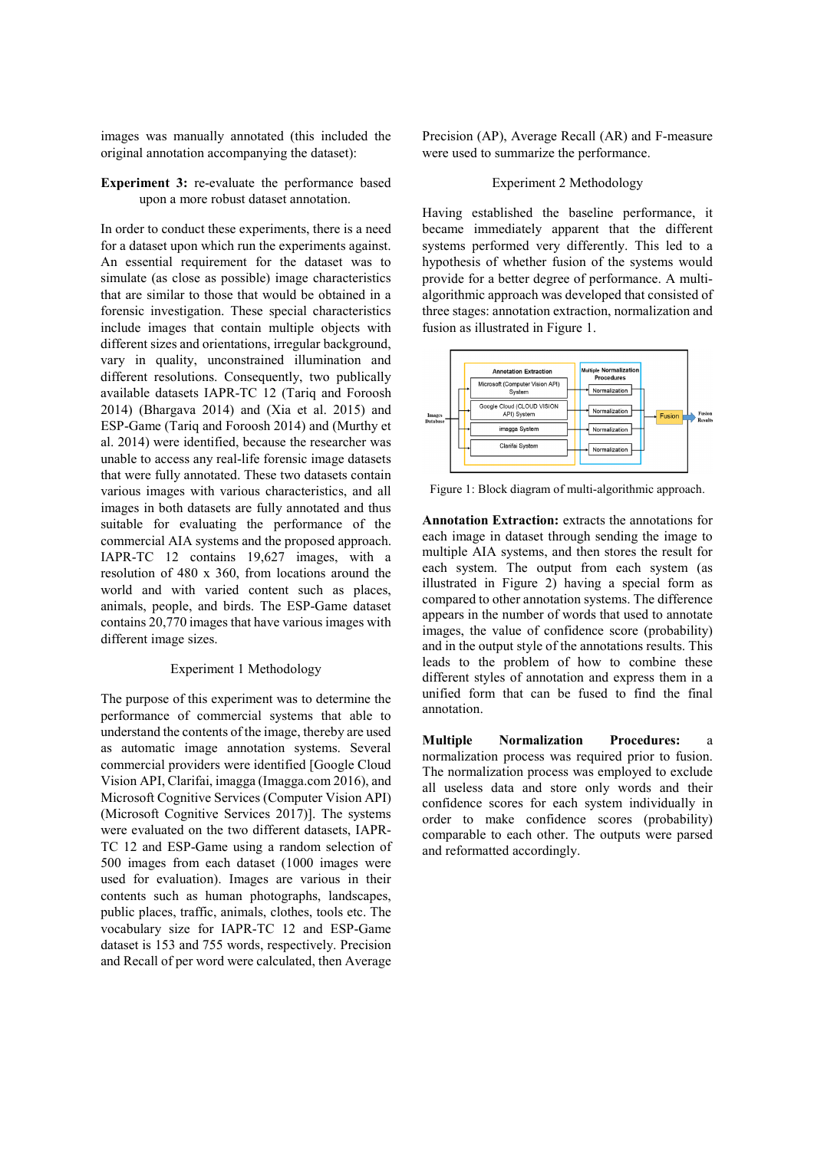images was manually annotated (this included the original annotation accompanying the dataset):

#### **Experiment 3:** re-evaluate the performance based upon a more robust dataset annotation.

In order to conduct these experiments, there is a need for a dataset upon which run the experiments against. An essential requirement for the dataset was to simulate (as close as possible) image characteristics that are similar to those that would be obtained in a forensic investigation. These special characteristics include images that contain multiple objects with different sizes and orientations, irregular background, vary in quality, unconstrained illumination and different resolutions. Consequently, two publically available datasets IAPR-TC 12 (Tariq and Foroosh 2014) (Bhargava 2014) and (Xia et al. 2015) and ESP-Game (Tariq and Foroosh 2014) and (Murthy et al. 2014) were identified, because the researcher was unable to access any real-life forensic image datasets that were fully annotated. These two datasets contain various images with various characteristics, and all images in both datasets are fully annotated and thus suitable for evaluating the performance of the commercial AIA systems and the proposed approach. IAPR-TC 12 contains 19,627 images, with a resolution of 480 x 360, from locations around the world and with varied content such as places, animals, people, and birds. The ESP-Game dataset contains 20,770 images that have various images with different image sizes.

#### Experiment 1 Methodology

The purpose of this experiment was to determine the performance of commercial systems that able to understand the contents of the image, thereby are used as automatic image annotation systems. Several commercial providers were identified [Google Cloud Vision API, Clarifai, imagga (Imagga.com 2016), and Microsoft Cognitive Services (Computer Vision API) (Microsoft Cognitive Services 2017)]. The systems were evaluated on the two different datasets, IAPR-TC 12 and ESP-Game using a random selection of 500 images from each dataset (1000 images were used for evaluation). Images are various in their contents such as human photographs, landscapes, public places, traffic, animals, clothes, tools etc. The vocabulary size for IAPR-TC 12 and ESP-Game dataset is 153 and 755 words, respectively. Precision and Recall of per word were calculated, then Average

Precision (AP), Average Recall (AR) and F-measure were used to summarize the performance.

#### Experiment 2 Methodology

Having established the baseline performance, it became immediately apparent that the different systems performed very differently. This led to a hypothesis of whether fusion of the systems would provide for a better degree of performance. A multialgorithmic approach was developed that consisted of three stages: annotation extraction, normalization and fusion as illustrated in Figure 1.



Figure 1: Block diagram of multi-algorithmic approach.

**Annotation Extraction:** extracts the annotations for each image in dataset through sending the image to multiple AIA systems, and then stores the result for each system. The output from each system (as illustrated in Figure 2) having a special form as compared to other annotation systems. The difference appears in the number of words that used to annotate images, the value of confidence score (probability) and in the output style of the annotations results. This leads to the problem of how to combine these different styles of annotation and express them in a unified form that can be fused to find the final annotation.

**Multiple Normalization Procedures:** a normalization process was required prior to fusion. The normalization process was employed to exclude all useless data and store only words and their confidence scores for each system individually in order to make confidence scores (probability) comparable to each other. The outputs were parsed and reformatted accordingly.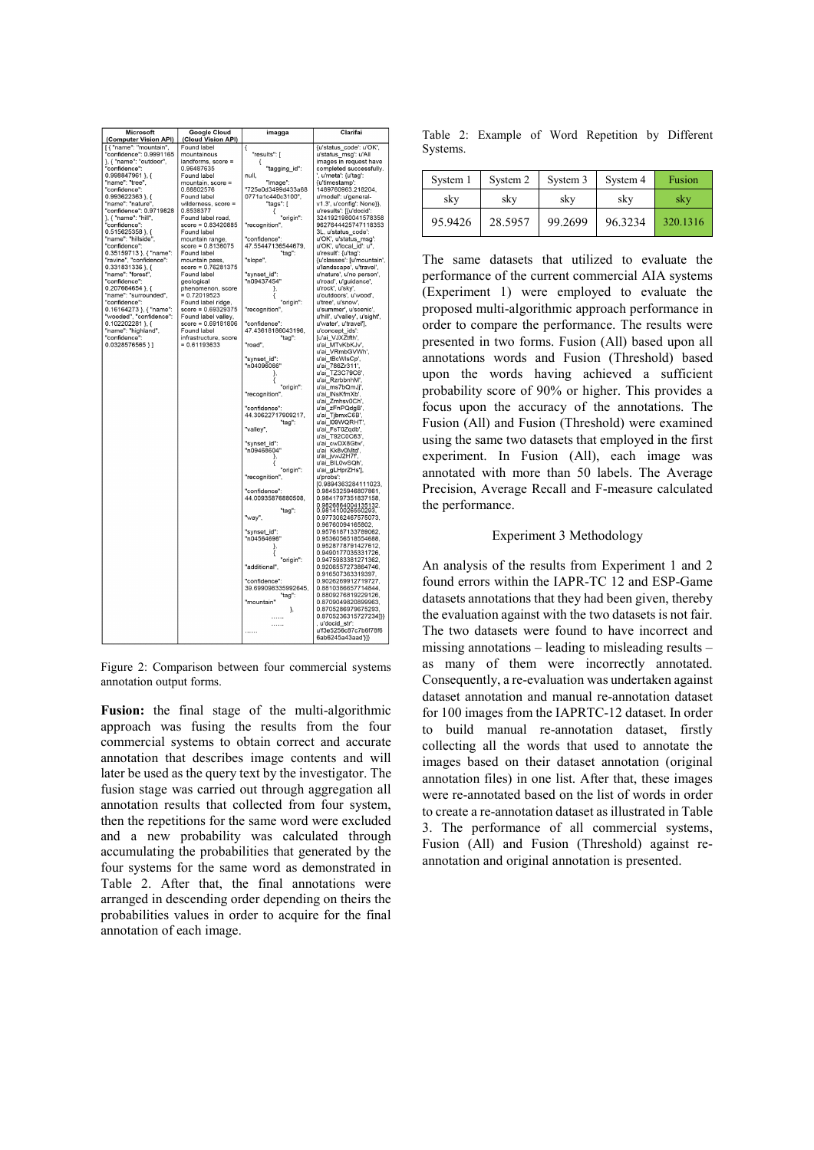| Microsoft<br>(Computer Vision API)                 | <b>Google Cloud</b><br>(Cloud Vision API) | imagga                                  | Clarifai                                               |
|----------------------------------------------------|-------------------------------------------|-----------------------------------------|--------------------------------------------------------|
| [{ "name": "mountain",                             | Found label                               | ₹                                       | {u'status_code': u'OK',                                |
| "confidence": 0.9991165                            | mountainous                               | "results": [                            | u'status msg': u'All                                   |
| }, { "name": "outdoor",                            | landforms, score =                        | €                                       | images in request have                                 |
| "confidence":                                      | 0.96487635                                | "tagging_id":                           | completed successfully.                                |
| 0.998847961 }, {                                   | Found label                               | null.                                   | u'meta': {u'tag':                                      |
| "name": "tree"                                     | mountain, score =                         | "image":                                | {u'timestamp':                                         |
| "confidence":                                      | 0.88802576<br>Found label                 | "725e0d3499d433a68<br>0771a1c440c3100", | 1489760963.218204.<br>u'model': u'general-             |
| $0.993622363$ }, {<br>"name": "nature"             | wilderness, score =                       | "tags": [                               | v1.3', u'config': None}},                              |
| "confidence": 0.9719828                            | 0.8538377                                 |                                         | u'results': [{u'docid':                                |
| }, { "name": "hill",                               | Found label road.                         | "origin":                               | 3241921980041578358                                    |
| "confidence"                                       | $score = 0.83420885$                      | "recognition",                          | 9627644425747118353                                    |
| 0.515625358 }, {                                   | Found label                               |                                         | 3L, u'status_code':                                    |
| "name": "hillside"                                 | mountain range,                           | "confidence":                           | u'OK', u'status_msg':                                  |
| "confidence":                                      | $score = 0.8136075$                       | 47.55447136544679,                      | u'OK', u'local_id': u",                                |
| 0.35159713 }, { "name":<br>"ravine", "confidence": | Found label                               | "tag":<br>"slope",                      | u'result': {u'tag':                                    |
| 0.331831336 }, {                                   | mountain pass,<br>score = 0.76281375      |                                         | {u'classes': [u'mountain',<br>u'landscape', u'travel', |
| "name": "forest".                                  | Found label                               | "synset_id":                            | u'nature', u'no person',                               |
| "confidence":                                      | geological                                | "n09437454"                             | u'road', u'quidance',                                  |
| $0.207664654$ }, {                                 | phenomenon, score                         | ł.                                      | u'rock', u'sky',                                       |
| "name": "surrounded".                              | $= 0.72019523$                            | ₹                                       | u'outdoors', u'wood',                                  |
| "confidence":                                      | Found label ridge,                        | "origin":                               | u'tree', u'snow',                                      |
| 0.16164273 }, { "name":                            | $score = 0.69329375$                      | "recognition",                          | u'summer', u'scenic',                                  |
| "wooded", "confidence":                            | Found label valley,                       |                                         | u'hill', u'valley', u'sight',                          |
| $0.102202281$ }, {<br>"name": "highland",          | score = 0.69181806<br>Found label         | "confidence":<br>47.43618186043196,     | u'water', u'travel'],<br>u'concept_ids':               |
| "confidence"                                       | infrastructure, score                     | "tag":                                  | [u'ai_VJXZtfth',                                       |
| $0.0328576565$ } ]                                 | $= 0.61193633$                            | "road",                                 | u'ai_MTvKbKJv'                                         |
|                                                    |                                           |                                         | u'ai VRmbGVWh',                                        |
|                                                    |                                           | "synset id":                            |                                                        |
|                                                    |                                           | "n04096066"                             | u'ai_tBcWlsCp',<br>u'ai_786Zr311',                     |
|                                                    |                                           | },                                      | u'ai_TZ3C79C6',                                        |
|                                                    |                                           | ₹                                       | u'ai_RzrbbnhM',                                        |
|                                                    |                                           | "origin":                               | u'ai_ms7bQmJj',                                        |
|                                                    |                                           | "recognition",                          | u'ai_INsKfmXb'<br>u'ai_Zmhsv0Ch',                      |
|                                                    |                                           | "confidence":                           | u'ai_zFnPQdgB',                                        |
|                                                    |                                           | 44.30622717909217,                      | u'ai TjbmxC6B',                                        |
|                                                    |                                           | "taq":                                  | u'ai_l09WQRHT',                                        |
|                                                    |                                           | "valley".                               | u'ai FsT0Zqdb'.                                        |
|                                                    |                                           |                                         | u'ai T92C0C63',                                        |
|                                                    |                                           | "synset id":                            | u'ai cwDX8Gtw'.                                        |
|                                                    |                                           | "n09468604"                             | u'ai Kk8v0Mtd',<br>u'ai_jvwJ2H7f'                      |
|                                                    |                                           |                                         | u'ai_BIL0wSQh',                                        |
|                                                    |                                           | 'origin":                               | u'ai_gLHprZHs'],                                       |
|                                                    |                                           | "recognition",                          | u'probs':                                              |
|                                                    |                                           |                                         | [0.9894363284111023,                                   |
|                                                    |                                           | "confidence":                           | 0.9845325946807861.                                    |
|                                                    |                                           | 44.00935876880508,                      | 0.9841797351837158.                                    |
|                                                    |                                           | "tag":                                  | 0.9826864004135132.<br>0.981410026550293,              |
|                                                    |                                           | "way",                                  | 0.9773062467575073.                                    |
|                                                    |                                           |                                         | 0.96760094165802.                                      |
|                                                    |                                           | "synset_id":                            | 0.9576187133789062.                                    |
|                                                    |                                           | "n04564698"                             | 0.9536056518554688,<br>0.9528778791427612.             |
|                                                    |                                           | ł,<br>ſ                                 | 0.9490177035331726.                                    |
|                                                    |                                           | "origin":                               | 0.9475983381271362.                                    |
|                                                    |                                           | "additional",                           | 0.9206557273864746.                                    |
|                                                    |                                           |                                         | 0.916507363319397.                                     |
|                                                    |                                           | "confidence":                           | 0.9026269912719727.                                    |
|                                                    |                                           | 39.699098335992645.                     | 0.8810386657714844.                                    |
|                                                    |                                           | "tag":                                  | 0.8809276819229126.                                    |
|                                                    |                                           | "mountain"                              | 0.8709049820899963.<br>0.8705286979675293.             |
|                                                    |                                           | },                                      | 0.8705236315727234]}}                                  |
|                                                    |                                           | .                                       | u'docid str':                                          |
|                                                    |                                           | .                                       | u'f3e5256c87c7b6f78f6                                  |
|                                                    |                                           |                                         | 6ab6245a43aad'}]}                                      |

Figure 2: Comparison between four commercial systems annotation output forms.

**Fusion:** the final stage of the multi-algorithmic approach was fusing the results from the four commercial systems to obtain correct and accurate annotation that describes image contents and will later be used as the query text by the investigator. The fusion stage was carried out through aggregation all annotation results that collected from four system, then the repetitions for the same word were excluded and a new probability was calculated through accumulating the probabilities that generated by the four systems for the same word as demonstrated in Table 2. After that, the final annotations were arranged in descending order depending on theirs the probabilities values in order to acquire for the final annotation of each image.

|          |  |  | Table 2: Example of Word Repetition by Different |  |
|----------|--|--|--------------------------------------------------|--|
| Systems. |  |  |                                                  |  |

| System 1 | System 2 | System 3 | System 4 | Fusion   |
|----------|----------|----------|----------|----------|
| sky      | sky      | sky      | sky      | sky      |
| 95.9426  | 28.5957  | 99.2699  | 96.3234  | 320.1316 |

The same datasets that utilized to evaluate the performance of the current commercial AIA systems (Experiment 1) were employed to evaluate the proposed multi-algorithmic approach performance in order to compare the performance. The results were presented in two forms. Fusion (All) based upon all annotations words and Fusion (Threshold) based upon the words having achieved a sufficient probability score of 90% or higher. This provides a focus upon the accuracy of the annotations. The Fusion (All) and Fusion (Threshold) were examined using the same two datasets that employed in the first experiment. In Fusion (All), each image was annotated with more than 50 labels. The Average Precision, Average Recall and F-measure calculated the performance.

#### Experiment 3 Methodology

An analysis of the results from Experiment 1 and 2 found errors within the IAPR-TC 12 and ESP-Game datasets annotations that they had been given, thereby the evaluation against with the two datasets is not fair. The two datasets were found to have incorrect and missing annotations – leading to misleading results – as many of them were incorrectly annotated. Consequently, a re-evaluation was undertaken against dataset annotation and manual re-annotation dataset for 100 images from the IAPRTC-12 dataset. In order to build manual re-annotation dataset, firstly collecting all the words that used to annotate the images based on their dataset annotation (original annotation files) in one list. After that, these images were re-annotated based on the list of words in order to create a re-annotation dataset as illustrated in Table 3. The performance of all commercial systems, Fusion (All) and Fusion (Threshold) against reannotation and original annotation is presented.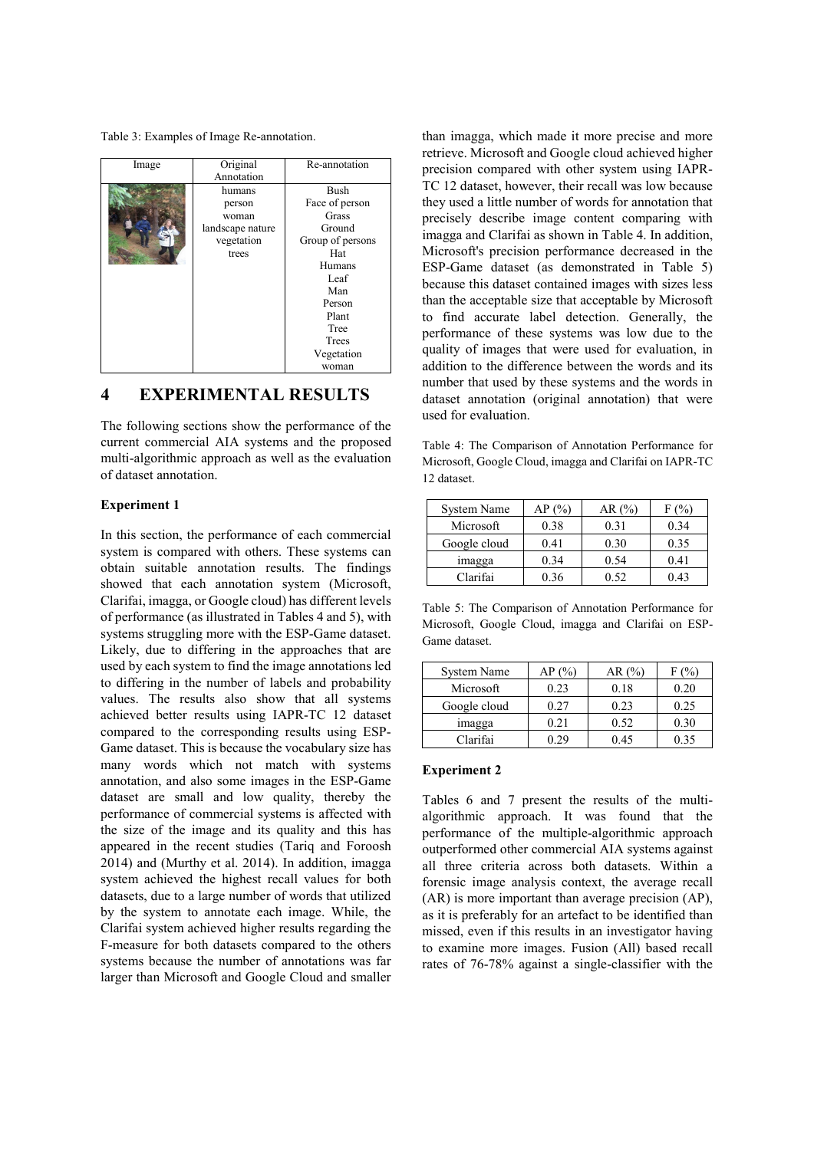Table 3: Examples of Image Re-annotation.

| Image | Original<br>Annotation | Re-annotation    |
|-------|------------------------|------------------|
|       | humans                 | <b>Bush</b>      |
|       | person                 | Face of person   |
|       | woman                  | Grass            |
|       | landscape nature       | Ground           |
|       | vegetation             | Group of persons |
|       | trees                  | Hat              |
|       |                        | Humans           |
|       |                        | Leaf             |
|       |                        | Man              |
|       |                        | Person           |
|       |                        | Plant            |
|       |                        | Tree             |
|       |                        | <b>Trees</b>     |
|       |                        | Vegetation       |
|       |                        | woman            |

### **4 EXPERIMENTAL RESULTS**

The following sections show the performance of the current commercial AIA systems and the proposed multi-algorithmic approach as well as the evaluation of dataset annotation.

#### **Experiment 1**

In this section, the performance of each commercial system is compared with others. These systems can obtain suitable annotation results. The findings showed that each annotation system (Microsoft, Clarifai, imagga, or Google cloud) has different levels of performance (as illustrated in Tables 4 and 5), with systems struggling more with the ESP-Game dataset. Likely, due to differing in the approaches that are used by each system to find the image annotations led to differing in the number of labels and probability values. The results also show that all systems achieved better results using IAPR-TC 12 dataset compared to the corresponding results using ESP-Game dataset. This is because the vocabulary size has many words which not match with systems annotation, and also some images in the ESP-Game dataset are small and low quality, thereby the performance of commercial systems is affected with the size of the image and its quality and this has appeared in the recent studies (Tariq and Foroosh 2014) and (Murthy et al. 2014). In addition, imagga system achieved the highest recall values for both datasets, due to a large number of words that utilized by the system to annotate each image. While, the Clarifai system achieved higher results regarding the F-measure for both datasets compared to the others systems because the number of annotations was far larger than Microsoft and Google Cloud and smaller

than imagga, which made it more precise and more retrieve. Microsoft and Google cloud achieved higher precision compared with other system using IAPR-TC 12 dataset, however, their recall was low because they used a little number of words for annotation that precisely describe image content comparing with imagga and Clarifai as shown in Table 4. In addition, Microsoft's precision performance decreased in the ESP-Game dataset (as demonstrated in Table 5) because this dataset contained images with sizes less than the acceptable size that acceptable by Microsoft to find accurate label detection. Generally, the performance of these systems was low due to the quality of images that were used for evaluation, in addition to the difference between the words and its number that used by these systems and the words in dataset annotation (original annotation) that were used for evaluation.

Table 4: The Comparison of Annotation Performance for Microsoft, Google Cloud, imagga and Clarifai on IAPR-TC 12 dataset.

| System Name  | AP(%) | AR (%) | F (%) |
|--------------|-------|--------|-------|
| Microsoft    | 0.38  | 0.31   | 0.34  |
| Google cloud | 0.41  | 0.30   | 0.35  |
| imagga       | 0.34  | 0.54   | 0.41  |
| Clarifai     | 0.36  | 0.52   | 0.43  |

Table 5: The Comparison of Annotation Performance for Microsoft, Google Cloud, imagga and Clarifai on ESP-Game dataset.

| System Name  | AP(%) | AR (%) |      |
|--------------|-------|--------|------|
| Microsoft    | 0.23  | 0.18   | 0.20 |
| Google cloud | 0.27  | 0.23   | 0.25 |
| imagga       | 0.21  | 0.52   | 0.30 |
| Clarifai     |       | 0.45   | 0.35 |

### **Experiment 2**

Tables 6 and 7 present the results of the multialgorithmic approach. It was found that the performance of the multiple-algorithmic approach outperformed other commercial AIA systems against all three criteria across both datasets. Within a forensic image analysis context, the average recall (AR) is more important than average precision (AP), as it is preferably for an artefact to be identified than missed, even if this results in an investigator having to examine more images. Fusion (All) based recall rates of 76-78% against a single-classifier with the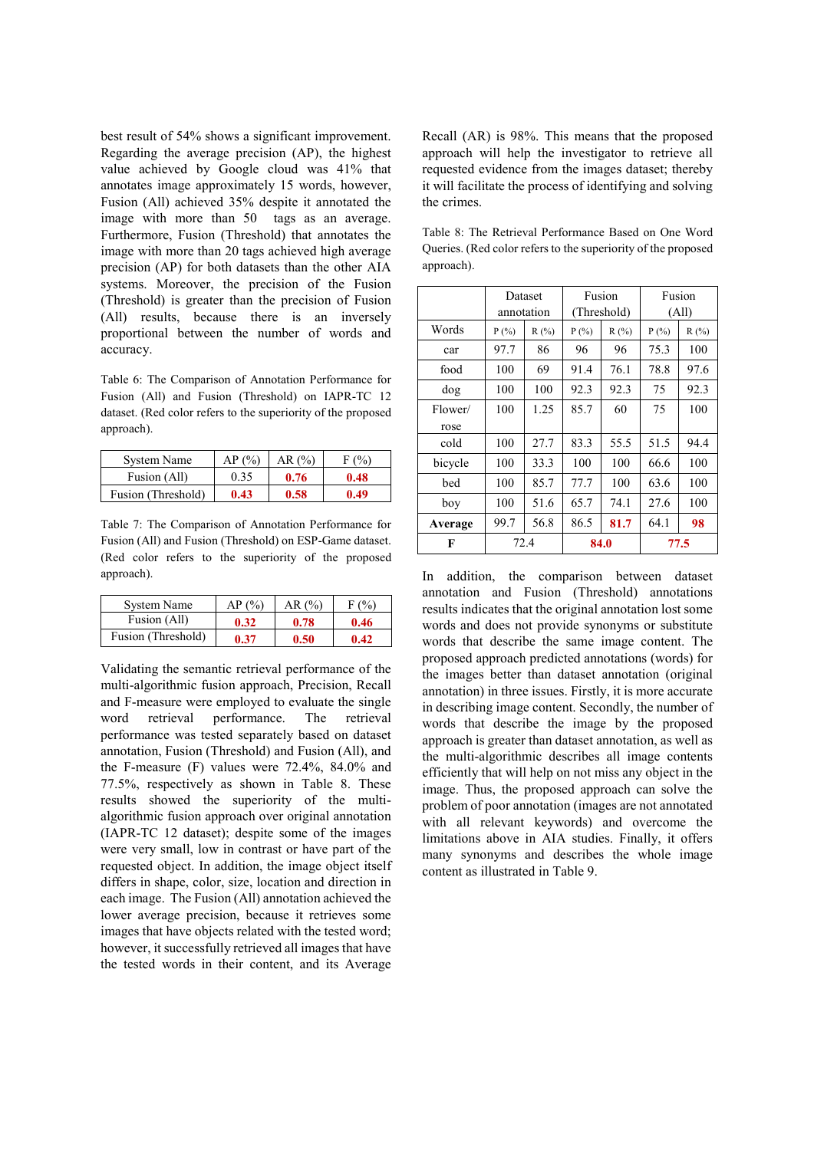best result of 54% shows a significant improvement. Regarding the average precision (AP), the highest value achieved by Google cloud was 41% that annotates image approximately 15 words, however, Fusion (All) achieved 35% despite it annotated the image with more than 50 tags as an average. Furthermore, Fusion (Threshold) that annotates the image with more than 20 tags achieved high average precision (AP) for both datasets than the other AIA systems. Moreover, the precision of the Fusion (Threshold) is greater than the precision of Fusion (All) results, because there is an inversely proportional between the number of words and accuracy.

Table 6: The Comparison of Annotation Performance for Fusion (All) and Fusion (Threshold) on IAPR-TC 12 dataset. (Red color refers to the superiority of the proposed approach).

| System Name        | AP(%) | AR (%) | F (%) |
|--------------------|-------|--------|-------|
| Fusion (All)       | 0.35  | 0.76   | 0.48  |
| Fusion (Threshold) | 0.43  | 0.58   | 0.49  |

Table 7: The Comparison of Annotation Performance for Fusion (All) and Fusion (Threshold) on ESP-Game dataset. (Red color refers to the superiority of the proposed approach).

| System Name        | AP (%) | AR (%) | $F($ %) |
|--------------------|--------|--------|---------|
| Fusion (All)       | 0.32   | 0.78   | 0.46    |
| Fusion (Threshold) | 0.37   | 0.50   | 0.42    |

Validating the semantic retrieval performance of the multi-algorithmic fusion approach, Precision, Recall and F-measure were employed to evaluate the single word retrieval performance. The retrieval performance was tested separately based on dataset annotation, Fusion (Threshold) and Fusion (All), and the F-measure (F) values were 72.4%, 84.0% and 77.5%, respectively as shown in Table 8. These results showed the superiority of the multialgorithmic fusion approach over original annotation (IAPR-TC 12 dataset); despite some of the images were very small, low in contrast or have part of the requested object. In addition, the image object itself differs in shape, color, size, location and direction in each image. The Fusion (All) annotation achieved the lower average precision, because it retrieves some images that have objects related with the tested word; however, it successfully retrieved all images that have the tested words in their content, and its Average Recall (AR) is 98%. This means that the proposed approach will help the investigator to retrieve all requested evidence from the images dataset; thereby it will facilitate the process of identifying and solving the crimes.

Table 8: The Retrieval Performance Based on One Word Queries. (Red color refers to the superiority of the proposed approach).

|         | Dataset |            | Fusion |             | Fusion  |      |
|---------|---------|------------|--------|-------------|---------|------|
|         |         | annotation |        | (Threshold) | (All)   |      |
| Words   | P(%)    | R(%)       | P(%)   | R(%)        | $P(\%)$ | R(%) |
| car     | 97.7    | 86         | 96     | 96          | 75.3    | 100  |
| food    | 100     | 69         | 91.4   | 76.1        | 78.8    | 97.6 |
| dog     | 100     | 100        | 92.3   | 92.3        | 75      | 92.3 |
| Flower/ | 100     | 1.25       | 85.7   | 60          | 75      | 100  |
| rose    |         |            |        |             |         |      |
| cold    | 100     | 27.7       | 83.3   | 55.5        | 51.5    | 94.4 |
| bicycle | 100     | 33.3       | 100    | 100         | 66.6    | 100  |
| bed     | 100     | 85.7       | 77.7   | 100         | 63.6    | 100  |
| boy     | 100     | 51.6       | 65.7   | 74.1        | 27.6    | 100  |
| Average | 99.7    | 56.8       | 86.5   | 81.7        | 64.1    | 98   |
| F       | 72.4    |            |        | 84.0        |         | 77.5 |

In addition, the comparison between dataset annotation and Fusion (Threshold) annotations results indicates that the original annotation lost some words and does not provide synonyms or substitute words that describe the same image content. The proposed approach predicted annotations (words) for the images better than dataset annotation (original annotation) in three issues. Firstly, it is more accurate in describing image content. Secondly, the number of words that describe the image by the proposed approach is greater than dataset annotation, as well as the multi-algorithmic describes all image contents efficiently that will help on not miss any object in the image. Thus, the proposed approach can solve the problem of poor annotation (images are not annotated with all relevant keywords) and overcome the limitations above in AIA studies. Finally, it offers many synonyms and describes the whole image content as illustrated in Table 9.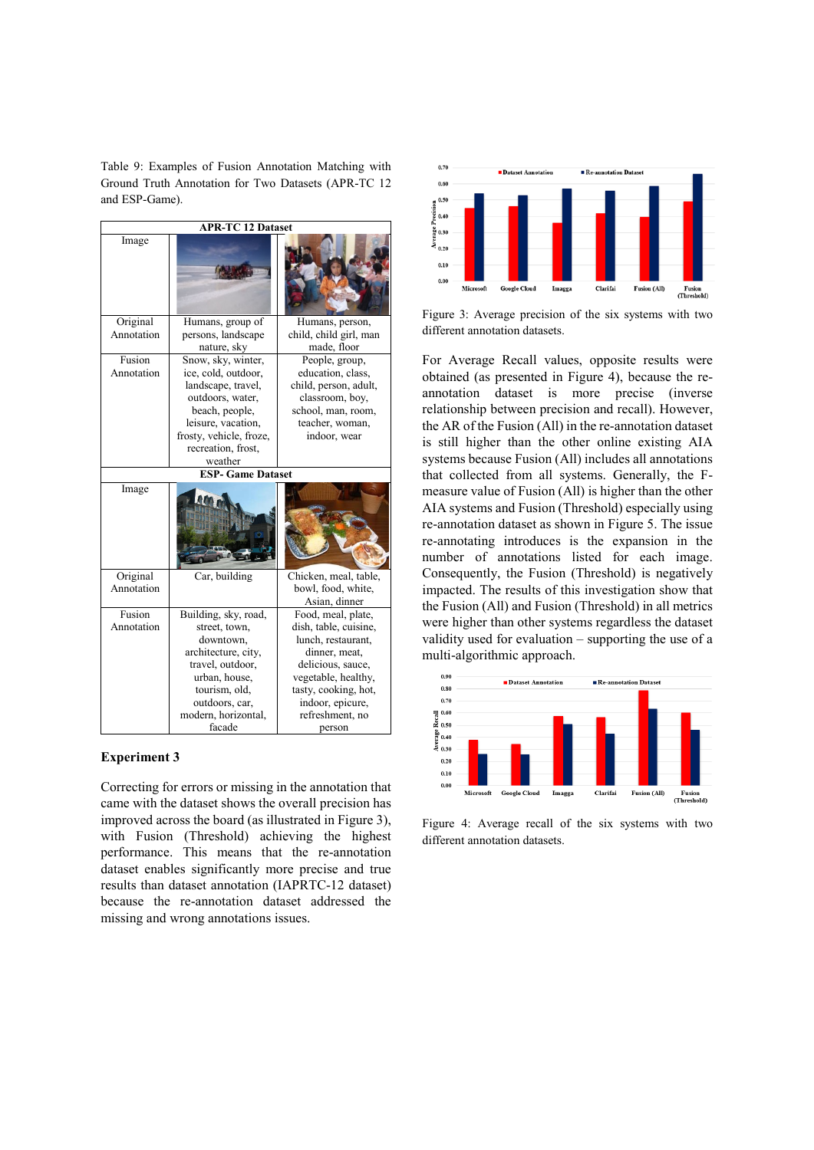Table 9: Examples of Fusion Annotation Matching with Ground Truth Annotation for Two Datasets (APR-TC 12 and ESP-Game).

|            |                          | <b>APR-TC 12 Dataset</b> |  |  |  |  |  |  |
|------------|--------------------------|--------------------------|--|--|--|--|--|--|
| Image      |                          |                          |  |  |  |  |  |  |
| Original   | Humans, group of         | Humans, person,          |  |  |  |  |  |  |
| Annotation | persons, landscape       | child, child girl, man   |  |  |  |  |  |  |
|            | nature, sky              | made, floor              |  |  |  |  |  |  |
| Fusion     | Snow, sky, winter,       | People, group,           |  |  |  |  |  |  |
| Annotation | ice, cold, outdoor,      | education, class,        |  |  |  |  |  |  |
|            | landscape, travel,       | child, person, adult,    |  |  |  |  |  |  |
|            | outdoors, water,         | classroom, boy,          |  |  |  |  |  |  |
|            | beach, people,           | school, man, room,       |  |  |  |  |  |  |
|            | leisure, vacation,       | teacher, woman,          |  |  |  |  |  |  |
|            | frosty, vehicle, froze,  | indoor, wear             |  |  |  |  |  |  |
|            | recreation, frost,       |                          |  |  |  |  |  |  |
|            | weather                  |                          |  |  |  |  |  |  |
|            | <b>ESP- Game Dataset</b> |                          |  |  |  |  |  |  |
| Image      |                          |                          |  |  |  |  |  |  |
| Original   | Car, building            | Chicken, meal, table,    |  |  |  |  |  |  |
| Annotation |                          | bowl, food, white,       |  |  |  |  |  |  |
|            |                          | Asian, dinner            |  |  |  |  |  |  |
| Fusion     | Building, sky, road,     | Food, meal, plate,       |  |  |  |  |  |  |
| Annotation | street, town,            | dish, table, cuisine,    |  |  |  |  |  |  |
|            | downtown.                | lunch, restaurant,       |  |  |  |  |  |  |
|            | architecture, city,      | dinner, meat,            |  |  |  |  |  |  |
|            | travel, outdoor,         | delicious, sauce,        |  |  |  |  |  |  |
|            | urban, house,            | vegetable, healthy,      |  |  |  |  |  |  |
|            | tourism, old,            | tasty, cooking, hot,     |  |  |  |  |  |  |
|            | outdoors, car,           | indoor, epicure,         |  |  |  |  |  |  |
|            | modern, horizontal,      | refreshment, no          |  |  |  |  |  |  |
|            | facade                   | person                   |  |  |  |  |  |  |

#### **Experiment 3**

Correcting for errors or missing in the annotation that came with the dataset shows the overall precision has improved across the board (as illustrated in Figure 3), with Fusion (Threshold) achieving the highest performance. This means that the re-annotation dataset enables significantly more precise and true results than dataset annotation (IAPRTC-12 dataset) because the re-annotation dataset addressed the missing and wrong annotations issues.



Figure 3: Average precision of the six systems with two different annotation datasets.

For Average Recall values, opposite results were obtained (as presented in Figure 4), because the reannotation dataset is more precise (inverse relationship between precision and recall). However, the AR of the Fusion (All) in the re-annotation dataset is still higher than the other online existing AIA systems because Fusion (All) includes all annotations that collected from all systems. Generally, the Fmeasure value of Fusion (All) is higher than the other AIA systems and Fusion (Threshold) especially using re-annotation dataset as shown in Figure 5. The issue re-annotating introduces is the expansion in the number of annotations listed for each image. Consequently, the Fusion (Threshold) is negatively impacted. The results of this investigation show that the Fusion (All) and Fusion (Threshold) in all metrics were higher than other systems regardless the dataset validity used for evaluation – supporting the use of a multi-algorithmic approach.



Figure 4: Average recall of the six systems with two different annotation datasets.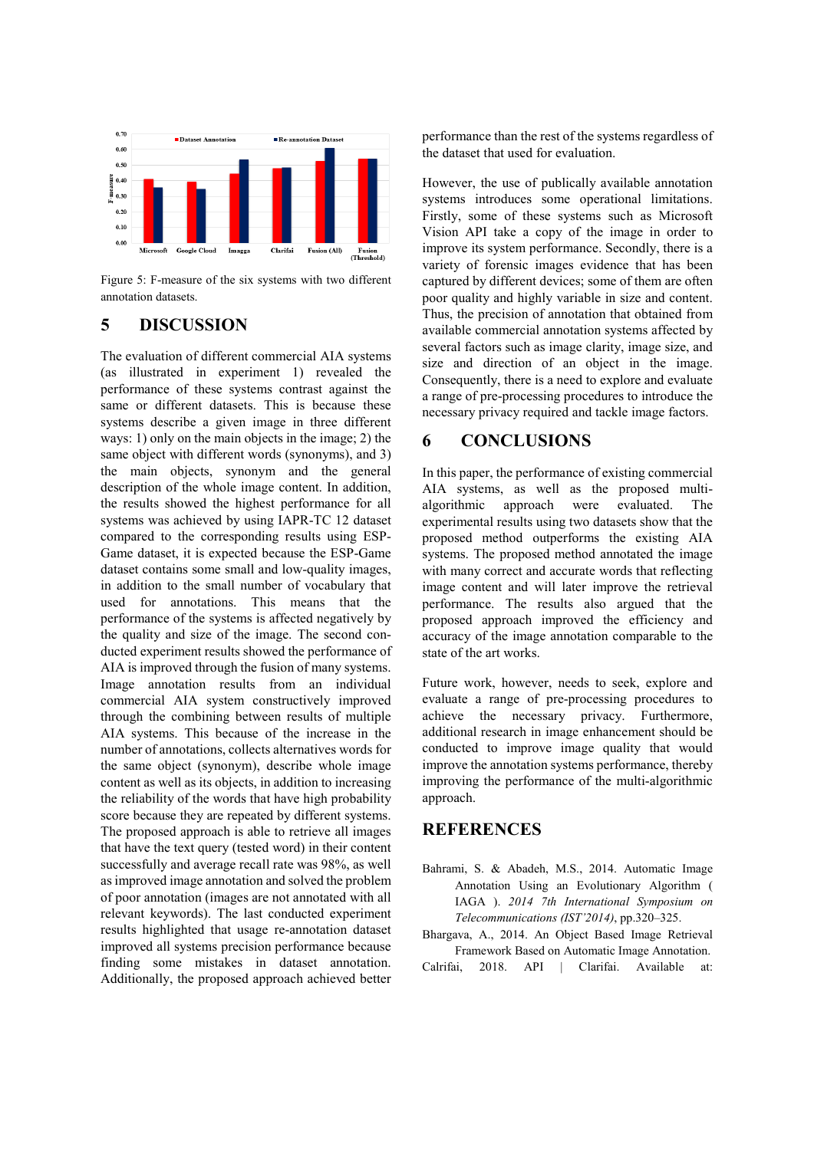

Figure 5: F-measure of the six systems with two different annotation datasets.

# **5 DISCUSSION**

The evaluation of different commercial AIA systems (as illustrated in experiment 1) revealed the performance of these systems contrast against the same or different datasets. This is because these systems describe a given image in three different ways: 1) only on the main objects in the image; 2) the same object with different words (synonyms), and 3) the main objects, synonym and the general description of the whole image content. In addition, the results showed the highest performance for all systems was achieved by using IAPR-TC 12 dataset compared to the corresponding results using ESP-Game dataset, it is expected because the ESP-Game dataset contains some small and low-quality images, in addition to the small number of vocabulary that used for annotations. This means that the performance of the systems is affected negatively by the quality and size of the image. The second conducted experiment results showed the performance of AIA is improved through the fusion of many systems. Image annotation results from an individual commercial AIA system constructively improved through the combining between results of multiple AIA systems. This because of the increase in the number of annotations, collects alternatives words for the same object (synonym), describe whole image content as well as its objects, in addition to increasing the reliability of the words that have high probability score because they are repeated by different systems. The proposed approach is able to retrieve all images that have the text query (tested word) in their content successfully and average recall rate was 98%, as well as improved image annotation and solved the problem of poor annotation (images are not annotated with all relevant keywords). The last conducted experiment results highlighted that usage re-annotation dataset improved all systems precision performance because finding some mistakes in dataset annotation. Additionally, the proposed approach achieved better performance than the rest of the systems regardless of the dataset that used for evaluation.

However, the use of publically available annotation systems introduces some operational limitations. Firstly, some of these systems such as Microsoft Vision API take a copy of the image in order to improve its system performance. Secondly, there is a variety of forensic images evidence that has been captured by different devices; some of them are often poor quality and highly variable in size and content. Thus, the precision of annotation that obtained from available commercial annotation systems affected by several factors such as image clarity, image size, and size and direction of an object in the image. Consequently, there is a need to explore and evaluate a range of pre-processing procedures to introduce the necessary privacy required and tackle image factors.

### **6 CONCLUSIONS**

In this paper, the performance of existing commercial AIA systems, as well as the proposed multialgorithmic approach were evaluated. The experimental results using two datasets show that the proposed method outperforms the existing AIA systems. The proposed method annotated the image with many correct and accurate words that reflecting image content and will later improve the retrieval performance. The results also argued that the proposed approach improved the efficiency and accuracy of the image annotation comparable to the state of the art works.

Future work, however, needs to seek, explore and evaluate a range of pre-processing procedures to achieve the necessary privacy. Furthermore, additional research in image enhancement should be conducted to improve image quality that would improve the annotation systems performance, thereby improving the performance of the multi-algorithmic approach.

### **REFERENCES**

- Bahrami, S. & Abadeh, M.S., 2014. Automatic Image Annotation Using an Evolutionary Algorithm ( IAGA ). *2014 7th International Symposium on Telecommunications (IST'2014)*, pp.320–325.
- Bhargava, A., 2014. An Object Based Image Retrieval Framework Based on Automatic Image Annotation. Calrifai, 2018. API | Clarifai. Available at: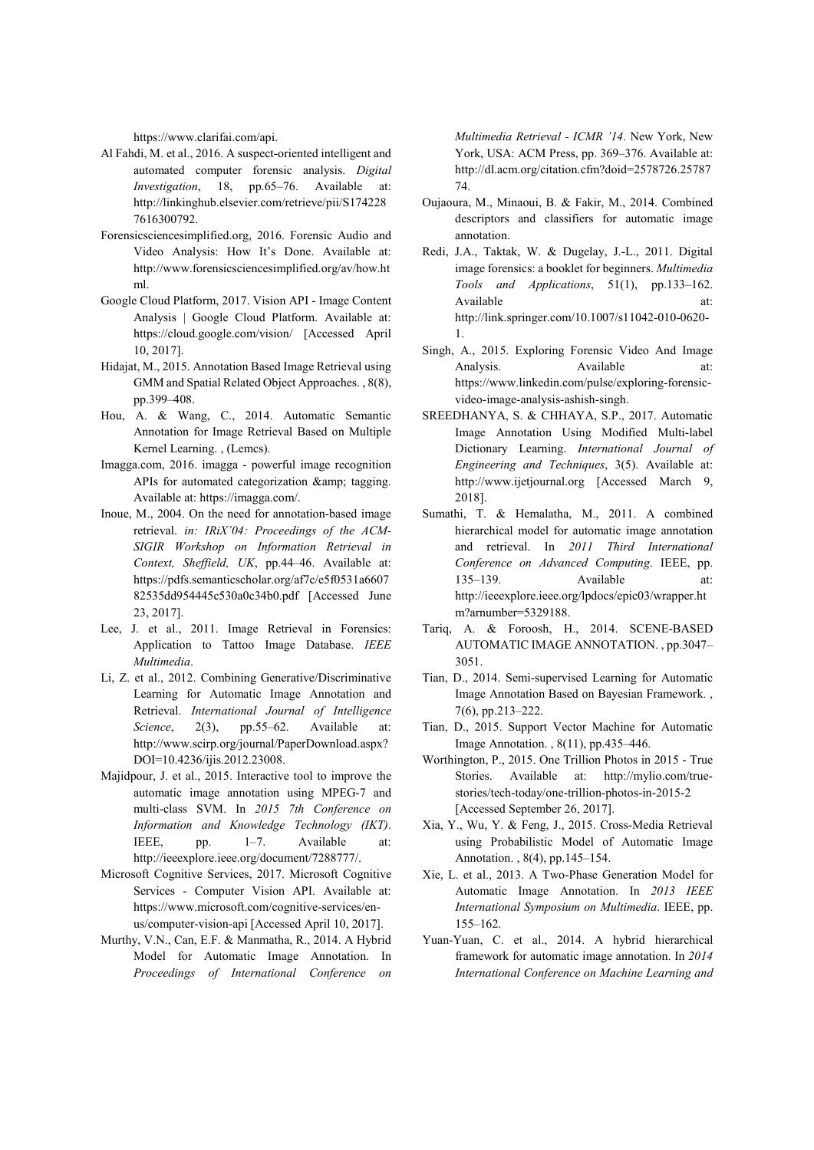https://www.clarifai.com/api.

- Al Fahdi, M. et al., 2016. A suspect-oriented intelligent and automated computer forensic analysis. *Digital Investigation*, 18, pp.65–76. Available at: http://linkinghub.elsevier.com/retrieve/pii/S174228 7616300792.
- Forensicsciencesimplified.org, 2016. Forensic Audio and Video Analysis: How It's Done. Available at: http://www.forensicsciencesimplified.org/av/how.ht ml.
- Google Cloud Platform, 2017. Vision API Image Content Analysis | Google Cloud Platform. Available at: https://cloud.google.com/vision/ [Accessed April 10, 2017].
- Hidajat, M., 2015. Annotation Based Image Retrieval using GMM and Spatial Related Object Approaches. , 8(8), pp.399–408.
- Hou, A. & Wang, C., 2014. Automatic Semantic Annotation for Image Retrieval Based on Multiple Kernel Learning. , (Lemcs).
- Imagga.com, 2016. imagga powerful image recognition APIs for automated categorization & amp; tagging. Available at: https://imagga.com/.
- Inoue, M., 2004. On the need for annotation-based image retrieval. *in: IRiX'04: Proceedings of the ACM-SIGIR Workshop on Information Retrieval in Context, Sheffield, UK*, pp.44–46. Available at: https://pdfs.semanticscholar.org/af7c/e5f0531a6607 82535dd954445c530a0c34b0.pdf [Accessed June 23, 2017].
- Lee, J. et al., 2011. Image Retrieval in Forensics: Application to Tattoo Image Database. *IEEE Multimedia*.
- Li, Z. et al., 2012. Combining Generative/Discriminative Learning for Automatic Image Annotation and Retrieval. *International Journal of Intelligence Science*, 2(3), pp.55–62. Available at: http://www.scirp.org/journal/PaperDownload.aspx? DOI=10.4236/ijis.2012.23008.
- Majidpour, J. et al., 2015. Interactive tool to improve the automatic image annotation using MPEG-7 and multi-class SVM. In *2015 7th Conference on Information and Knowledge Technology (IKT)*. IEEE, pp. 1–7. Available at: http://ieeexplore.ieee.org/document/7288777/.
- Microsoft Cognitive Services, 2017. Microsoft Cognitive Services - Computer Vision API. Available at: https://www.microsoft.com/cognitive-services/enus/computer-vision-api [Accessed April 10, 2017].
- Murthy, V.N., Can, E.F. & Manmatha, R., 2014. A Hybrid Model for Automatic Image Annotation. In *Proceedings of International Conference on*

*Multimedia Retrieval - ICMR '14*. New York, New York, USA: ACM Press, pp. 369–376. Available at: http://dl.acm.org/citation.cfm?doid=2578726.25787 74.

- Oujaoura, M., Minaoui, B. & Fakir, M., 2014. Combined descriptors and classifiers for automatic image annotation.
- Redi, J.A., Taktak, W. & Dugelay, J.-L., 2011. Digital image forensics: a booklet for beginners. *Multimedia Tools and Applications*, 51(1), pp.133–162. Available at: http://link.springer.com/10.1007/s11042-010-0620- 1.
- Singh, A., 2015. Exploring Forensic Video And Image Analysis. Available at: https://www.linkedin.com/pulse/exploring-forensicvideo-image-analysis-ashish-singh.
- SREEDHANYA, S. & CHHAYA, S.P., 2017. Automatic Image Annotation Using Modified Multi-label Dictionary Learning. *International Journal of Engineering and Techniques*, 3(5). Available at: http://www.ijetjournal.org [Accessed March 9, 2018].
- Sumathi, T. & Hemalatha, M., 2011. A combined hierarchical model for automatic image annotation and retrieval. In *2011 Third International Conference on Advanced Computing*. IEEE, pp. 135–139. Available at: http://ieeexplore.ieee.org/lpdocs/epic03/wrapper.ht m?arnumber=5329188.
- Tariq, A. & Foroosh, H., 2014. SCENE-BASED AUTOMATIC IMAGE ANNOTATION. , pp.3047– 3051.
- Tian, D., 2014. Semi-supervised Learning for Automatic Image Annotation Based on Bayesian Framework. , 7(6), pp.213–222.
- Tian, D., 2015. Support Vector Machine for Automatic Image Annotation. , 8(11), pp.435–446.
- Worthington, P., 2015. One Trillion Photos in 2015 True Stories. Available at: http://mylio.com/truestories/tech-today/one-trillion-photos-in-2015-2 [Accessed September 26, 2017].
- Xia, Y., Wu, Y. & Feng, J., 2015. Cross-Media Retrieval using Probabilistic Model of Automatic Image Annotation. , 8(4), pp.145–154.
- Xie, L. et al., 2013. A Two-Phase Generation Model for Automatic Image Annotation. In *2013 IEEE International Symposium on Multimedia*. IEEE, pp. 155–162.
- Yuan-Yuan, C. et al., 2014. A hybrid hierarchical framework for automatic image annotation. In *2014 International Conference on Machine Learning and*